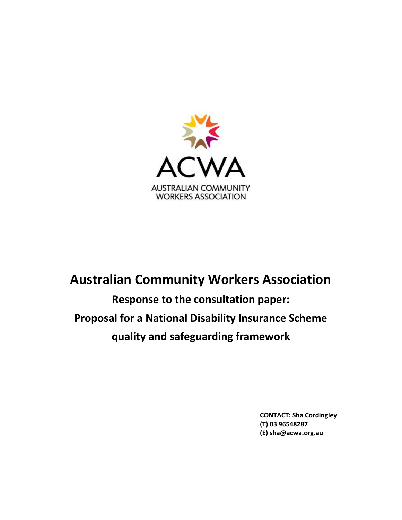

# **Australian Community Workers Association**

**Response to the consultation paper: Proposal for a National Disability Insurance Scheme quality and safeguarding framework**

> **CONTACT: Sha Cordingley (T) 03 96548287 (E) sha@acwa.org.au**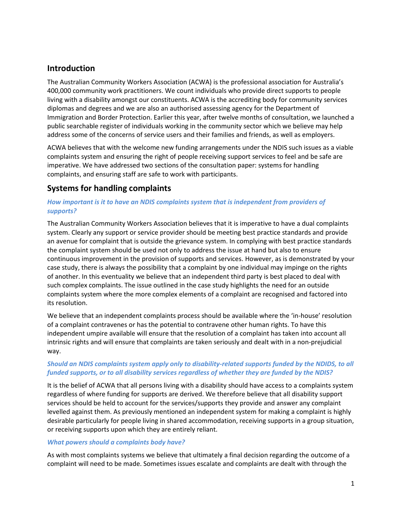## **Introduction**

The Australian Community Workers Association (ACWA) is the professional association for Australia's 400,000 community work practitioners. We count individuals who provide direct supports to people living with a disability amongst our constituents. ACWA is the accrediting body for community services diplomas and degrees and we are also an authorised assessing agency for the Department of Immigration and Border Protection. Earlier this year, after twelve months of consultation, we launched a public searchable register of individuals working in the community sector which we believe may help address some of the concerns of service users and their families and friends, as well as employers.

ACWA believes that with the welcome new funding arrangements under the NDIS such issues as a viable complaints system and ensuring the right of people receiving support services to feel and be safe are imperative. We have addressed two sections of the consultation paper: systems for handling complaints, and ensuring staff are safe to work with participants.

# **Systems for handling complaints**

## *How important is it to have an NDIS complaints system that is independent from providers of supports?*

The Australian Community Workers Association believes that it is imperative to have a dual complaints system. Clearly any support or service provider should be meeting best practice standards and provide an avenue for complaint that is outside the grievance system. In complying with best practice standards the complaint system should be used not only to address the issue at hand but also to ensure continuous improvement in the provision of supports and services. However, as is demonstrated by your case study, there is always the possibility that a complaint by one individual may impinge on the rights of another. In this eventuality we believe that an independent third party is best placed to deal with such complex complaints. The issue outlined in the case study highlights the need for an outside complaints system where the more complex elements of a complaint are recognised and factored into its resolution.

We believe that an independent complaints process should be available where the 'in-house' resolution of a complaint contravenes or has the potential to contravene other human rights. To have this independent umpire available will ensure that the resolution of a complaint has taken into account all intrinsic rights and will ensure that complaints are taken seriously and dealt with in a non-prejudicial way.

## *Should an NDIS complaints system apply only to disability-related supports funded by the NDIDS, to all funded supports, or to all disability services regardless of whether they are funded by the NDIS?*

It is the belief of ACWA that all persons living with a disability should have access to a complaints system regardless of where funding for supports are derived. We therefore believe that all disability support services should be held to account for the services/supports they provide and answer any complaint levelled against them. As previously mentioned an independent system for making a complaint is highly desirable particularly for people living in shared accommodation, receiving supports in a group situation, or receiving supports upon which they are entirely reliant.

### *What powers should a complaints body have?*

As with most complaints systems we believe that ultimately a final decision regarding the outcome of a complaint will need to be made. Sometimes issues escalate and complaints are dealt with through the